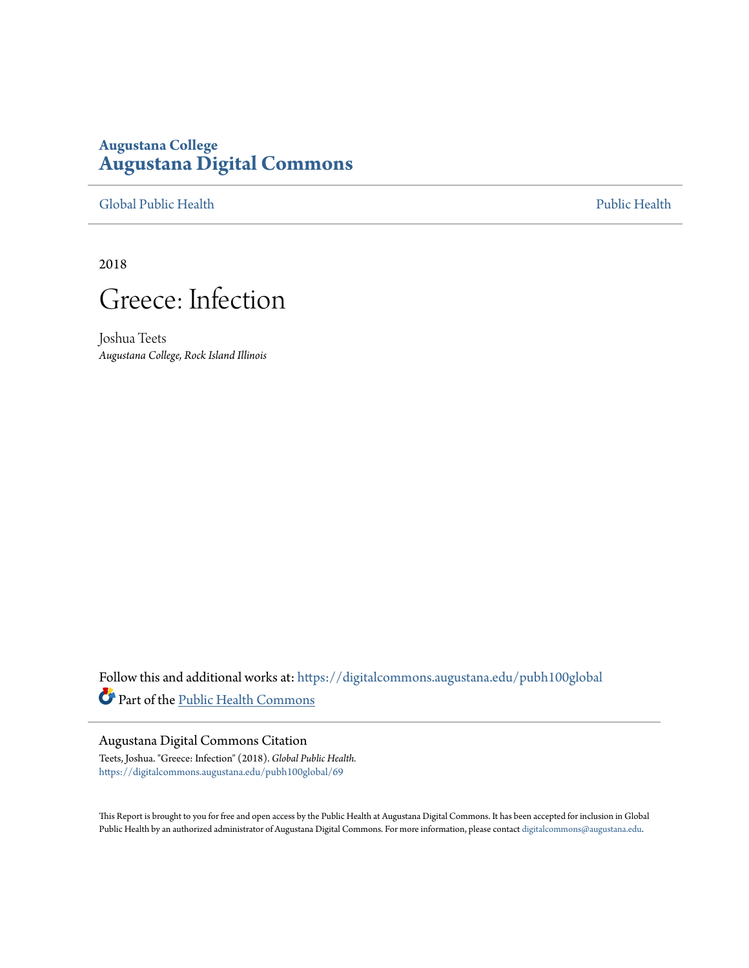## **Augustana College [Augustana Digital Commons](https://digitalcommons.augustana.edu?utm_source=digitalcommons.augustana.edu%2Fpubh100global%2F69&utm_medium=PDF&utm_campaign=PDFCoverPages)**

[Global Public Health](https://digitalcommons.augustana.edu/pubh100global?utm_source=digitalcommons.augustana.edu%2Fpubh100global%2F69&utm_medium=PDF&utm_campaign=PDFCoverPages) [Public Health](https://digitalcommons.augustana.edu/publichealth?utm_source=digitalcommons.augustana.edu%2Fpubh100global%2F69&utm_medium=PDF&utm_campaign=PDFCoverPages)

2018



Joshua Teets *Augustana College, Rock Island Illinois*

Follow this and additional works at: [https://digitalcommons.augustana.edu/pubh100global](https://digitalcommons.augustana.edu/pubh100global?utm_source=digitalcommons.augustana.edu%2Fpubh100global%2F69&utm_medium=PDF&utm_campaign=PDFCoverPages) Part of the [Public Health Commons](http://network.bepress.com/hgg/discipline/738?utm_source=digitalcommons.augustana.edu%2Fpubh100global%2F69&utm_medium=PDF&utm_campaign=PDFCoverPages)

#### Augustana Digital Commons Citation

Teets, Joshua. "Greece: Infection" (2018). *Global Public Health.* [https://digitalcommons.augustana.edu/pubh100global/69](https://digitalcommons.augustana.edu/pubh100global/69?utm_source=digitalcommons.augustana.edu%2Fpubh100global%2F69&utm_medium=PDF&utm_campaign=PDFCoverPages)

This Report is brought to you for free and open access by the Public Health at Augustana Digital Commons. It has been accepted for inclusion in Global Public Health by an authorized administrator of Augustana Digital Commons. For more information, please contact [digitalcommons@augustana.edu.](mailto:digitalcommons@augustana.edu)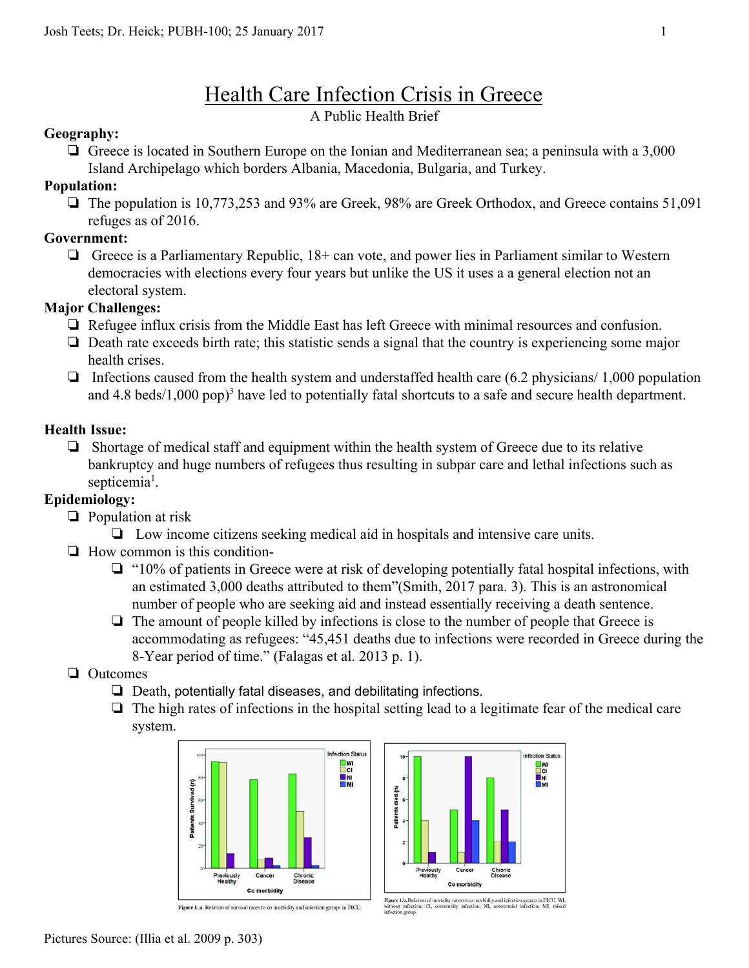# Health Care Infection Crisis in Greece

## A Public Health Brief

#### **Geography:**

❏ Greece is located in Southern Europe on the Ionian and Mediterranean sea; a peninsula with a 3,000 Island Archipelago which borders Albania, Macedonia, Bulgaria, and Turkey.

#### **Population:**

❏ The population is 10,773,253 and 93% are Greek, 98% are Greek Orthodox, and Greece contains 51,091 refuges as of 2016.

### **Government:**

❏ Greece is a Parliamentary Republic, 18+ can vote, and power lies in Parliament similar to Western democracies with elections every four years but unlike the US it uses a a general election not an electoral system.

### **Major Challenges:**

- ❏ Refugee influx crisis from the Middle East has left Greece with minimal resources and confusion.
- ❏ Death rate exceeds birth rate; this statistic sends a signal that the country is experiencing some major health crises.
- $\Box$  Infections caused from the health system and understaffed health care (6.2 physicians/ 1,000 population and 4.8 beds/1,000 pop)<sup>3</sup> have led to potentially fatal shortcuts to a safe and secure health department.

## **Health Issue:**

❏ Shortage of medical staff and equipment within the health system of Greece due to its relative bankruptcy and huge numbers of refugees thus resulting in subpar care and lethal infections such as septicemia<sup>1</sup>.

## **Epidemiology:**

- ❏ Population at risk
	- ❏ Low income citizens seeking medical aid in hospitals and intensive care units.
- ❏ How common is this condition-
	- ❏ "10% of patients in Greece were at risk of developing potentially fatal hospital infections, with an estimated 3,000 deaths attributed to them"(Smith, 2017 para. 3). This is an astronomical number of people who are seeking aid and instead essentially receiving a death sentence.
	- ❏ The amount of people killed by infections is close to the number of people that Greece is accommodating as refugees: "45,451 deaths due to infections were recorded in Greece during the 8-Year period of time." (Falagas et al. 2013 p. 1).
- ❏ Outcomes
	- ❏ Death, potentially fatal diseases, and debilitating infections.
	- ❏ The high rates of infections in the hospital setting lead to a legitimate fear of the medical care system.



Figure 1. a. Relation of survival rates to co morbidity and infection groups in PICU.



Figure I.b. Relation of mortality rates to co morbidity and infection groups in PICU. WI, without infection; CI, community infection; NI, nosocomial infection; MI, mixed infection group.